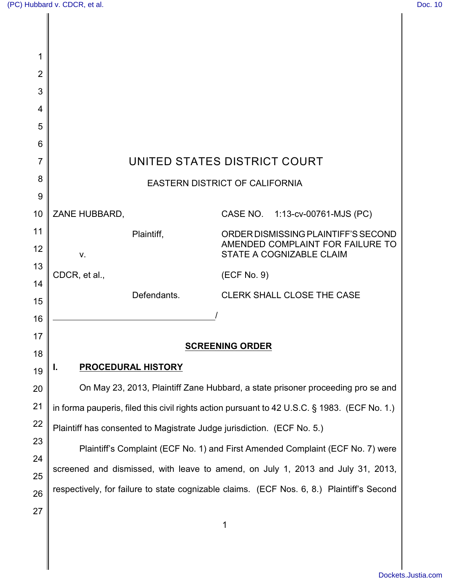| $\overline{2}$ |                                                                                              |             |                                                                         |  |
|----------------|----------------------------------------------------------------------------------------------|-------------|-------------------------------------------------------------------------|--|
| 3              |                                                                                              |             |                                                                         |  |
| 4              |                                                                                              |             |                                                                         |  |
| 5              |                                                                                              |             |                                                                         |  |
| 6              |                                                                                              |             |                                                                         |  |
| 7              | UNITED STATES DISTRICT COURT                                                                 |             |                                                                         |  |
| 8              | <b>EASTERN DISTRICT OF CALIFORNIA</b>                                                        |             |                                                                         |  |
| 9              |                                                                                              |             |                                                                         |  |
| 10             | ZANE HUBBARD,                                                                                |             | CASE NO. 1:13-cv-00761-MJS (PC)                                         |  |
| 11             |                                                                                              | Plaintiff,  | ORDER DISMISSING PLAINTIFF'S SECOND<br>AMENDED COMPLAINT FOR FAILURE TO |  |
| 12             | V.                                                                                           |             | STATE A COGNIZABLE CLAIM                                                |  |
| 13<br>14       | CDCR, et al.,                                                                                |             | (ECF No. 9)                                                             |  |
| 15             |                                                                                              | Defendants. | <b>CLERK SHALL CLOSE THE CASE</b>                                       |  |
| 16             |                                                                                              |             |                                                                         |  |
| 17             |                                                                                              |             |                                                                         |  |
| 18             | <b>SCREENING ORDER</b>                                                                       |             |                                                                         |  |
| 19             | <b>PROCEDURAL HISTORY</b><br>ı.                                                              |             |                                                                         |  |
| 20             | On May 23, 2013, Plaintiff Zane Hubbard, a state prisoner proceeding pro se and              |             |                                                                         |  |
| 21             | in forma pauperis, filed this civil rights action pursuant to 42 U.S.C. § 1983. (ECF No. 1.) |             |                                                                         |  |
| 22             | Plaintiff has consented to Magistrate Judge jurisdiction. (ECF No. 5.)                       |             |                                                                         |  |
| 23             | Plaintiff's Complaint (ECF No. 1) and First Amended Complaint (ECF No. 7) were               |             |                                                                         |  |
| 24             | screened and dismissed, with leave to amend, on July 1, 2013 and July 31, 2013,              |             |                                                                         |  |
| 25             |                                                                                              |             |                                                                         |  |
| 26             | respectively, for failure to state cognizable claims. (ECF Nos. 6, 8.) Plaintiff's Second    |             |                                                                         |  |
| 27             |                                                                                              |             |                                                                         |  |
|                |                                                                                              |             | 1                                                                       |  |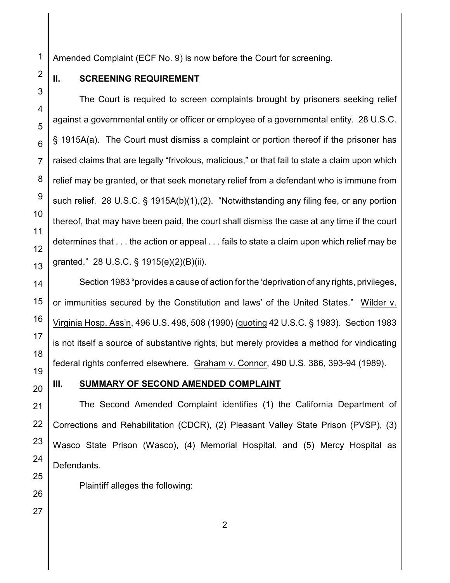Amended Complaint (ECF No. 9) is now before the Court for screening.

2 3

4

1

# **II. SCREENING REQUIREMENT**

The Court is required to screen complaints brought by prisoners seeking relief against a governmental entity or officer or employee of a governmental entity. 28 U.S.C. § 1915A(a). The Court must dismiss a complaint or portion thereof if the prisoner has raised claims that are legally "frivolous, malicious," or that fail to state a claim upon which relief may be granted, or that seek monetary relief from a defendant who is immune from such relief. 28 U.S.C. § 1915A(b)(1),(2). "Notwithstanding any filing fee, or any portion thereof, that may have been paid, the court shall dismiss the case at any time if the court determines that . . . the action or appeal . . . fails to state a claim upon which relief may be granted." 28 U.S.C. § 1915(e)(2)(B)(ii).

Section 1983 "provides a cause of action for the 'deprivation of any rights, privileges, or immunities secured by the Constitution and laws' of the United States." Wilder v. Virginia Hosp. Ass'n, 496 U.S. 498, 508 (1990) (quoting 42 U.S.C. § 1983). Section 1983 is not itself a source of substantive rights, but merely provides a method for vindicating federal rights conferred elsewhere. Graham v. Connor, 490 U.S. 386, 393-94 (1989).

## **III. SUMMARY OF SECOND AMENDED COMPLAINT**

The Second Amended Complaint identifies (1) the California Department of Corrections and Rehabilitation (CDCR), (2) Pleasant Valley State Prison (PVSP), (3) Wasco State Prison (Wasco), (4) Memorial Hospital, and (5) Mercy Hospital as Defendants.

Plaintiff alleges the following: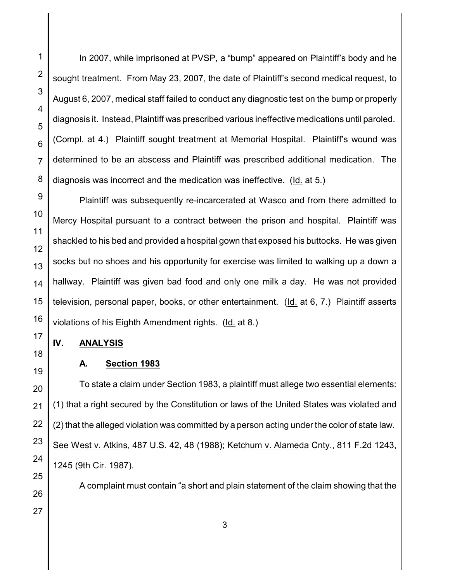In 2007, while imprisoned at PVSP, a "bump" appeared on Plaintiff's body and he sought treatment. From May 23, 2007, the date of Plaintiff's second medical request, to August 6, 2007, medical staff failed to conduct any diagnostic test on the bump or properly diagnosis it. Instead, Plaintiff was prescribed various ineffective medications until paroled. (Compl. at 4.) Plaintiff sought treatment at Memorial Hospital. Plaintiff's wound was determined to be an abscess and Plaintiff was prescribed additional medication. The diagnosis was incorrect and the medication was ineffective. (Id. at 5.)

Plaintiff was subsequently re-incarcerated at Wasco and from there admitted to Mercy Hospital pursuant to a contract between the prison and hospital. Plaintiff was shackled to his bed and provided a hospital gown that exposed his buttocks. He was given socks but no shoes and his opportunity for exercise was limited to walking up a down a hallway. Plaintiff was given bad food and only one milk a day. He was not provided television, personal paper, books, or other entertainment. (Id. at 6, 7.) Plaintiff asserts violations of his Eighth Amendment rights. (Id. at 8.)

# **IV. ANALYSIS**

## **A. Section 1983**

To state a claim under Section 1983, a plaintiff must allege two essential elements: (1) that a right secured by the Constitution or laws of the United States was violated and (2) that the alleged violation was committed by a person acting under the color of state law. See West v. Atkins, 487 U.S. 42, 48 (1988); Ketchum v. Alameda Cnty., 811 F.2d 1243, 1245 (9th Cir. 1987).

A complaint must contain "a short and plain statement of the claim showing that the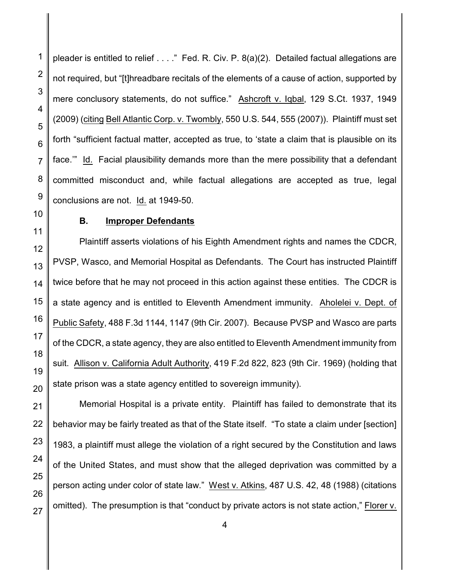pleader is entitled to relief . . . ." Fed. R. Civ. P. 8(a)(2). Detailed factual allegations are not required, but "[t]hreadbare recitals of the elements of a cause of action, supported by mere conclusory statements, do not suffice." Ashcroft v. Iqbal, 129 S.Ct. 1937, 1949 (2009) (citing Bell Atlantic Corp. v. Twombly, 550 U.S. 544, 555 (2007)). Plaintiff must set forth "sufficient factual matter, accepted as true, to 'state a claim that is plausible on its face.'" Id. Facial plausibility demands more than the mere possibility that a defendant committed misconduct and, while factual allegations are accepted as true, legal conclusions are not. Id. at 1949-50.

### **B. Improper Defendants**

Plaintiff asserts violations of his Eighth Amendment rights and names the CDCR, PVSP, Wasco, and Memorial Hospital as Defendants. The Court has instructed Plaintiff twice before that he may not proceed in this action against these entities. The CDCR is a state agency and is entitled to Eleventh Amendment immunity. Aholelei v. Dept. of Public Safety, 488 F.3d 1144, 1147 (9th Cir. 2007). Because PVSP and Wasco are parts of the CDCR, a state agency, they are also entitled to Eleventh Amendment immunity from suit. Allison v. California Adult Authority, 419 F.2d 822, 823 (9th Cir. 1969) (holding that state prison was a state agency entitled to sovereign immunity).

Memorial Hospital is a private entity. Plaintiff has failed to demonstrate that its behavior may be fairly treated as that of the State itself. "To state a claim under [section] 1983, a plaintiff must allege the violation of a right secured by the Constitution and laws of the United States, and must show that the alleged deprivation was committed by a person acting under color of state law." West v. Atkins, 487 U.S. 42, 48 (1988) (citations omitted). The presumption is that "conduct by private actors is not state action," Florer v.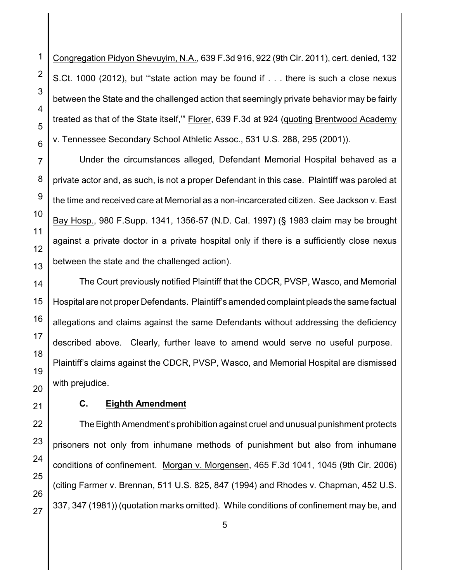Congregation Pidyon Shevuyim, N.A., 639 F.3d 916, 922 (9th Cir. 2011), cert. denied, 132 S.Ct. 1000 (2012), but "'state action may be found if . . . there is such a close nexus between the State and the challenged action that seemingly private behavior may be fairly treated as that of the State itself,'" Florer, 639 F.3d at 924 (quoting Brentwood Academy v. Tennessee Secondary School Athletic Assoc., 531 U.S. 288, 295 (2001)).

Under the circumstances alleged, Defendant Memorial Hospital behaved as a private actor and, as such, is not a proper Defendant in this case. Plaintiff was paroled at the time and received care at Memorial as a non-incarcerated citizen. See Jackson v. East Bay Hosp., 980 F.Supp. 1341, 1356-57 (N.D. Cal. 1997) (§ 1983 claim may be brought against a private doctor in a private hospital only if there is a sufficiently close nexus between the state and the challenged action).

The Court previously notified Plaintiff that the CDCR, PVSP, Wasco, and Memorial Hospital are not proper Defendants. Plaintiff's amended complaint pleads the same factual allegations and claims against the same Defendants without addressing the deficiency described above. Clearly, further leave to amend would serve no useful purpose. Plaintiff's claims against the CDCR, PVSP, Wasco, and Memorial Hospital are dismissed with prejudice.

## **C. Eighth Amendment**

The Eighth Amendment's prohibition against cruel and unusual punishment protects prisoners not only from inhumane methods of punishment but also from inhumane conditions of confinement. Morgan v. Morgensen, 465 F.3d 1041, 1045 (9th Cir. 2006) (citing Farmer v. Brennan, 511 U.S. 825, 847 (1994) and Rhodes v. Chapman, 452 U.S. 337, 347 (1981)) (quotation marks omitted). While conditions of confinement may be, and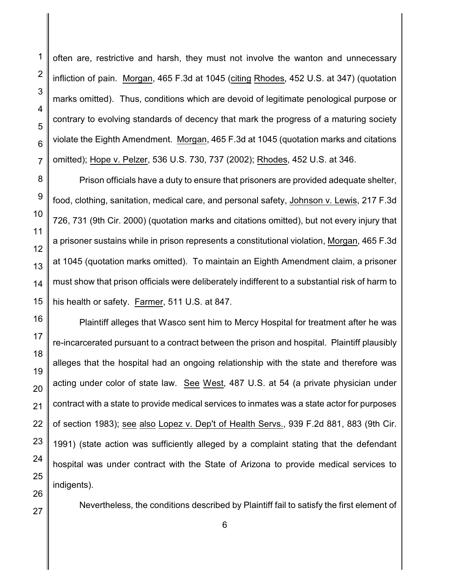often are, restrictive and harsh, they must not involve the wanton and unnecessary infliction of pain. Morgan, 465 F.3d at 1045 (citing Rhodes, 452 U.S. at 347) (quotation marks omitted). Thus, conditions which are devoid of legitimate penological purpose or contrary to evolving standards of decency that mark the progress of a maturing society violate the Eighth Amendment. Morgan, 465 F.3d at 1045 (quotation marks and citations omitted); Hope v. Pelzer, 536 U.S. 730, 737 (2002); Rhodes, 452 U.S. at 346.

Prison officials have a duty to ensure that prisoners are provided adequate shelter, food, clothing, sanitation, medical care, and personal safety, Johnson v. Lewis, 217 F.3d 726, 731 (9th Cir. 2000) (quotation marks and citations omitted), but not every injury that a prisoner sustains while in prison represents a constitutional violation, Morgan, 465 F.3d at 1045 (quotation marks omitted). To maintain an Eighth Amendment claim, a prisoner must show that prison officials were deliberately indifferent to a substantial risk of harm to his health or safety. Farmer, 511 U.S. at 847.

Plaintiff alleges that Wasco sent him to Mercy Hospital for treatment after he was re-incarcerated pursuant to a contract between the prison and hospital. Plaintiff plausibly alleges that the hospital had an ongoing relationship with the state and therefore was acting under color of state law. See West, 487 U.S. at 54 (a private physician under contract with a state to provide medical services to inmates was a state actor for purposes of section 1983); see also Lopez v. Dep't of Health Servs., 939 F.2d 881, 883 (9th Cir. 1991) (state action was sufficiently alleged by a complaint stating that the defendant hospital was under contract with the State of Arizona to provide medical services to indigents).

26 27

1

2

3

4

5

6

7

8

9

10

11

12

13

14

15

16

17

18

19

20

21

22

23

24

25

Nevertheless, the conditions described by Plaintiff fail to satisfy the first element of